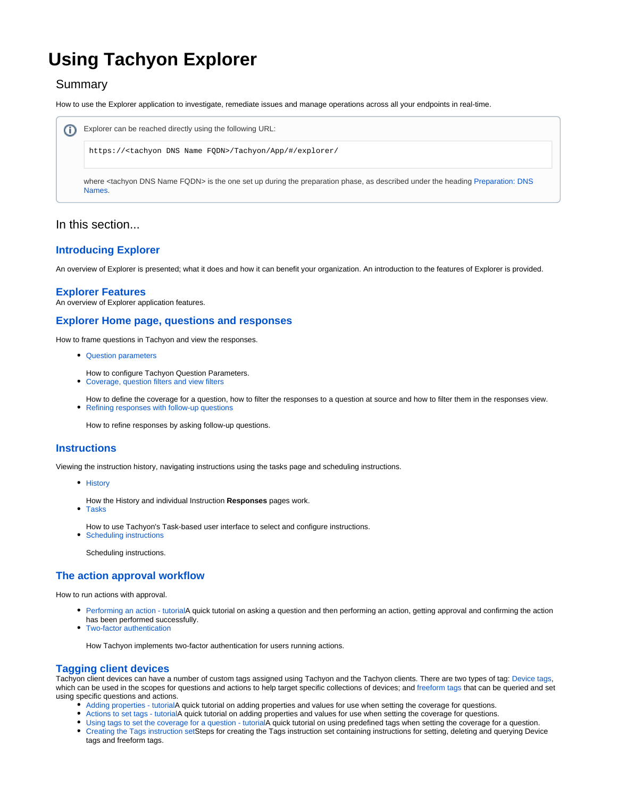# **Using Tachyon Explorer**

# Summary

How to use the Explorer application to investigate, remediate issues and manage operations across all your endpoints in real-time.

| Explorer can be reached directly using the following URL:                                                                                                   |
|-------------------------------------------------------------------------------------------------------------------------------------------------------------|
| https:// <tachyon dns="" fqdn="" name="">/Tachyon/App/#/explorer/</tachyon>                                                                                 |
| where <tachyon dns="" fqdn="" name=""> is the one set up during the preparation phase, as described under the heading Preparation: DNS<br/>Names.</tachyon> |

## In this section...

## **[Introducing Explorer](https://help.1e.com/display/XPL80/Introducing+Explorer)**

An overview of Explorer is presented; what it does and how it can benefit your organization. An introduction to the features of Explorer is provided.

#### **[Explorer Features](https://help.1e.com/display/XPL80/Explorer+Features)**

An overview of Explorer application features.

#### **[Explorer Home page, questions and responses](https://help.1e.com/display/XPL80/Explorer+Home+page%2C+questions+and+responses)**

How to frame questions in Tachyon and view the responses.

- [Question parameters](https://help.1e.com/display/XPL80/Question+parameters)
- How to configure Tachyon Question Parameters.
- [Coverage, question filters and view filters](https://help.1e.com/display/XPL80/Coverage%2C+question+filters+and+view+filters)
- How to define the coverage for a question, how to filter the responses to a question at source and how to filter them in the responses view. • [Refining responses with follow-up questions](https://help.1e.com/display/XPL80/Refining+responses+with+follow-up+questions)

How to refine responses by asking follow-up questions.

#### **[Instructions](https://help.1e.com/display/XPL80/Instructions)**

Viewing the instruction history, navigating instructions using the tasks page and scheduling instructions.

- [History](https://help.1e.com/display/XPL80/History)
- How the History and individual Instruction **Responses** pages work.
- [Tasks](https://help.1e.com/display/XPL80/Tasks)
	- How to use Tachyon's Task-based user interface to select and configure instructions.
- [Scheduling instructions](https://help.1e.com/display/XPL80/Scheduling+instructions) Scheduling instructions.

# **[The action approval workflow](https://help.1e.com/display/XPL80/The+action+approval+workflow)**

How to run actions with approval.

- [Performing an action tutorialA](https://help.1e.com/display/XPL80/Performing+an+action+-+tutorial) quick tutorial on asking a question and then performing an action, getting approval and confirming the action has been performed successfully.
- [Two-factor authentication](https://help.1e.com/display/XPL80/Two-factor+authentication)

How Tachyon implements two-factor authentication for users running actions.

#### **[Tagging client devices](https://help.1e.com/display/XPL80/Tagging+client+devices)**

Tachyon client devices can have a number of custom tags assigned using Tachyon and the Tachyon clients. There are two types of tag: [Device tags](https://help.1e.com/display/XPL80/Glossary#Glossary-Devicetags), which can be used in the scopes for questions and actions to help target specific collections of devices; and [freeform tags](https://help.1e.com/display/XPL80/Glossary#Glossary-Freeformtags) that can be queried and set using specific questions and actions.

- [Adding properties tutorial](https://help.1e.com/display/XPL80/Adding+properties+-+tutorial)A quick tutorial on adding properties and values for use when setting the coverage for questions.
- [Actions to set tags tutorialA](https://help.1e.com/display/XPL80/Actions+to+set+tags+-+tutorial) quick tutorial on adding properties and values for use when setting the coverage for questions.
- [Using tags to set the coverage for a question tutorialA](https://help.1e.com/display/XPL80/Using+tags+to+set+the+coverage+for+a+question+-+tutorial) quick tutorial on using predefined tags when setting the coverage for a question.
- [Creating the Tags instruction set](https://help.1e.com/display/XPL80/Creating+the+Tags+instruction+set)Steps for creating the Tags instruction set containing instructions for setting, deleting and querying Device tags and freeform tags.